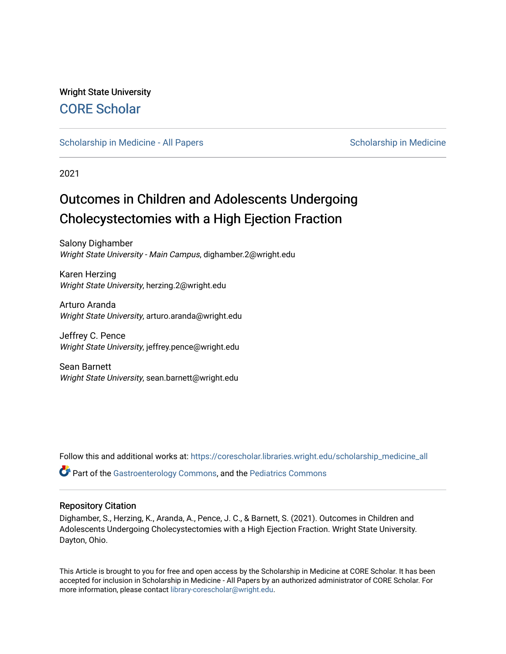Wright State University [CORE Scholar](https://corescholar.libraries.wright.edu/)

[Scholarship in Medicine - All Papers](https://corescholar.libraries.wright.edu/scholarship_medicine_all) [Scholarship in Medicine](https://corescholar.libraries.wright.edu/scholarship_medicine) - Scholarship in Medicine

2021

# Outcomes in Children and Adolescents Undergoing Cholecystectomies with a High Ejection Fraction

Salony Dighamber Wright State University - Main Campus, dighamber.2@wright.edu

Karen Herzing Wright State University, herzing.2@wright.edu

Arturo Aranda Wright State University, arturo.aranda@wright.edu

Jeffrey C. Pence Wright State University, jeffrey.pence@wright.edu

Sean Barnett Wright State University, sean.barnett@wright.edu

Follow this and additional works at: [https://corescholar.libraries.wright.edu/scholarship\\_medicine\\_all](https://corescholar.libraries.wright.edu/scholarship_medicine_all?utm_source=corescholar.libraries.wright.edu%2Fscholarship_medicine_all%2F79&utm_medium=PDF&utm_campaign=PDFCoverPages) 

**C** Part of the [Gastroenterology Commons](http://network.bepress.com/hgg/discipline/687?utm_source=corescholar.libraries.wright.edu%2Fscholarship_medicine_all%2F79&utm_medium=PDF&utm_campaign=PDFCoverPages), and the Pediatrics Commons

### Repository Citation

Dighamber, S., Herzing, K., Aranda, A., Pence, J. C., & Barnett, S. (2021). Outcomes in Children and Adolescents Undergoing Cholecystectomies with a High Ejection Fraction. Wright State University. Dayton, Ohio.

This Article is brought to you for free and open access by the Scholarship in Medicine at CORE Scholar. It has been accepted for inclusion in Scholarship in Medicine - All Papers by an authorized administrator of CORE Scholar. For more information, please contact [library-corescholar@wright.edu.](mailto:library-corescholar@wright.edu)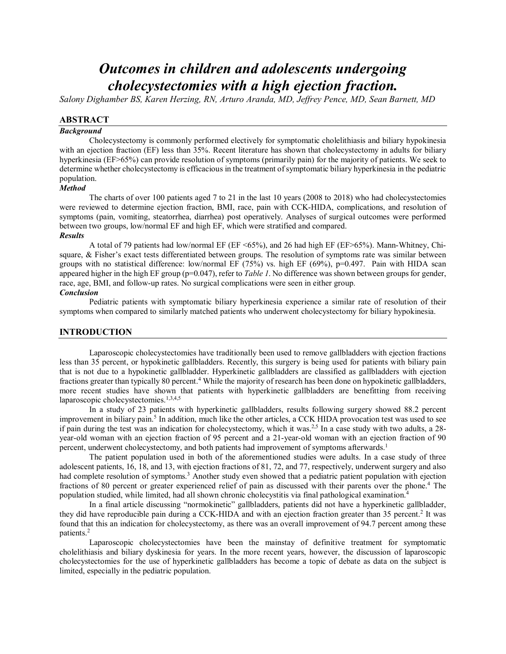## *Outcomes in children and adolescents undergoing cholecystectomies with a high ejection fraction.*

*Salony Dighamber BS, Karen Herzing, RN, Arturo Aranda, MD, Jeffrey Pence, MD, Sean Barnett, MD*

#### **ABSTRACT**

#### *Background*

Cholecystectomy is commonly performed electively for symptomatic cholelithiasis and biliary hypokinesia with an ejection fraction (EF) less than 35%. Recent literature has shown that cholecystectomy in adults for biliary hyperkinesia (EF>65%) can provide resolution of symptoms (primarily pain) for the majority of patients. We seek to determine whether cholecystectomy is efficacious in the treatment of symptomatic biliary hyperkinesia in the pediatric population.

#### *Method*

The charts of over 100 patients aged 7 to 21 in the last 10 years (2008 to 2018) who had cholecystectomies were reviewed to determine ejection fraction, BMI, race, pain with CCK-HIDA, complications, and resolution of symptoms (pain, vomiting, steatorrhea, diarrhea) post operatively. Analyses of surgical outcomes were performed between two groups, low/normal EF and high EF, which were stratified and compared.

#### *Results*

A total of 79 patients had low/normal EF (EF <65%), and 26 had high EF (EF>65%). Mann-Whitney, Chisquare, & Fisher's exact tests differentiated between groups. The resolution of symptoms rate was similar between groups with no statistical difference: low/normal EF (75%) vs. high EF (69%),  $p=0.497$ . Pain with HIDA scan appeared higher in the high EF group (p=0.047), refer to *Table 1*. No difference was shown between groups for gender, race, age, BMI, and follow-up rates. No surgical complications were seen in either group.

#### *Conclusion*

Pediatric patients with symptomatic biliary hyperkinesia experience a similar rate of resolution of their symptoms when compared to similarly matched patients who underwent cholecystectomy for biliary hypokinesia.

#### **INTRODUCTION**

Laparoscopic cholecystectomies have traditionally been used to remove gallbladders with ejection fractions less than 35 percent, or hypokinetic gallbladders. Recently, this surgery is being used for patients with biliary pain that is not due to a hypokinetic gallbladder. Hyperkinetic gallbladders are classified as gallbladders with ejection fractions greater than typically 80 percent.<sup>4</sup> While the majority of research has been done on hypokinetic gallbladders, more recent studies have shown that patients with hyperkinetic gallbladders are benefitting from receiving laparoscopic cholecystectomies.<sup>1,3,4,5</sup>

In a study of 23 patients with hyperkinetic gallbladders, results following surgery showed 88.2 percent improvement in biliary pain.5 In addition, much like the other articles, a CCK HIDA provocation test was used to see if pain during the test was an indication for cholecystectomy, which it was.<sup>2,5</sup> In a case study with two adults, a 28year-old woman with an ejection fraction of 95 percent and a 21-year-old woman with an ejection fraction of 90 percent, underwent cholecystectomy, and both patients had improvement of symptoms afterwards.<sup>1</sup>

The patient population used in both of the aforementioned studies were adults. In a case study of three adolescent patients, 16, 18, and 13, with ejection fractions of 81, 72, and 77, respectively, underwent surgery and also had complete resolution of symptoms.<sup>3</sup> Another study even showed that a pediatric patient population with ejection fractions of 80 percent or greater experienced relief of pain as discussed with their parents over the phone.4 The population studied, while limited, had all shown chronic cholecystitis via final pathological examination.4

In a final article discussing "normokinetic" gallbladders, patients did not have a hyperkinetic gallbladder, they did have reproducible pain during a CCK-HIDA and with an ejection fraction greater than 35 percent.<sup>2</sup> It was found that this an indication for cholecystectomy, as there was an overall improvement of 94.7 percent among these patients.2

Laparoscopic cholecystectomies have been the mainstay of definitive treatment for symptomatic cholelithiasis and biliary dyskinesia for years. In the more recent years, however, the discussion of laparoscopic cholecystectomies for the use of hyperkinetic gallbladders has become a topic of debate as data on the subject is limited, especially in the pediatric population.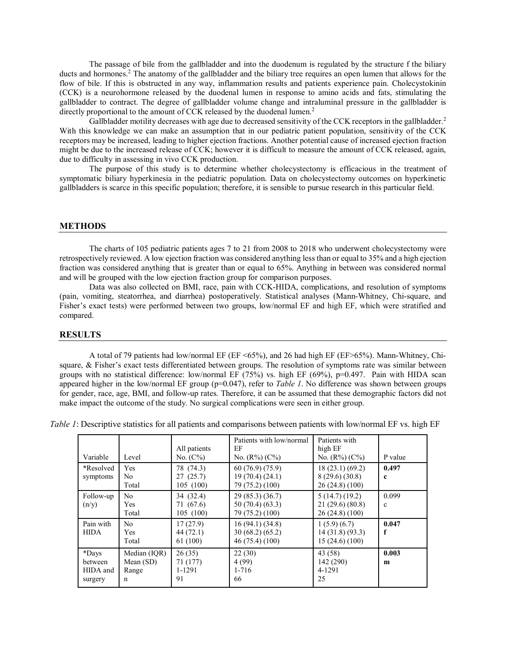The passage of bile from the gallbladder and into the duodenum is regulated by the structure f the biliary ducts and hormones.<sup>2</sup> The anatomy of the gallbladder and the biliary tree requires an open lumen that allows for the flow of bile. If this is obstructed in any way, inflammation results and patients experience pain. Cholecystokinin (CCK) is a neurohormone released by the duodenal lumen in response to amino acids and fats, stimulating the gallbladder to contract. The degree of gallbladder volume change and intraluminal pressure in the gallbladder is directly proportional to the amount of CCK released by the duodenal lumen.<sup>2</sup>

Gallbladder motility decreases with age due to decreased sensitivity of the CCK receptors in the gallbladder.<sup>2</sup> With this knowledge we can make an assumption that in our pediatric patient population, sensitivity of the CCK receptors may be increased, leading to higher ejection fractions. Another potential cause of increased ejection fraction might be due to the increased release of CCK; however it is difficult to measure the amount of CCK released, again, due to difficulty in assessing in vivo CCK production.

The purpose of this study is to determine whether cholecystectomy is efficacious in the treatment of symptomatic biliary hyperkinesia in the pediatric population. Data on cholecystectomy outcomes on hyperkinetic gallbladders is scarce in this specific population; therefore, it is sensible to pursue research in this particular field.

#### **METHODS**

The charts of 105 pediatric patients ages 7 to 21 from 2008 to 2018 who underwent cholecystectomy were retrospectively reviewed. A low ejection fraction was considered anything less than or equal to 35% and a high ejection fraction was considered anything that is greater than or equal to 65%. Anything in between was considered normal and will be grouped with the low ejection fraction group for comparison purposes.

Data was also collected on BMI, race, pain with CCK-HIDA, complications, and resolution of symptoms (pain, vomiting, steatorrhea, and diarrhea) postoperatively. Statistical analyses (Mann-Whitney, Chi-square, and Fisher's exact tests) were performed between two groups, low/normal EF and high EF, which were stratified and compared.

#### **RESULTS**

A total of 79 patients had low/normal EF (EF <65%), and 26 had high EF (EF>65%). Mann-Whitney, Chisquare, & Fisher's exact tests differentiated between groups. The resolution of symptoms rate was similar between groups with no statistical difference: low/normal EF (75%) vs. high EF (69%),  $p=0.497$ . Pain with HIDA scan appeared higher in the low/normal EF group (p=0.047), refer to *Table 1*. No difference was shown between groups for gender, race, age, BMI, and follow-up rates. Therefore, it can be assumed that these demographic factors did not make impact the outcome of the study. No surgical complications were seen in either group.

*Table 1*: Descriptive statistics for all patients and comparisons between patients with low/normal EF vs. high EF

| Variable                                | Level                                               | All patients<br>No. $(C\%)$         | Patients with low/normal<br>ΕF<br>No. $(R\%)$ (C%)    | Patients with<br>high EF<br>No. $(R\%)$ $(C\%)$  | P value               |
|-----------------------------------------|-----------------------------------------------------|-------------------------------------|-------------------------------------------------------|--------------------------------------------------|-----------------------|
| *Resolved<br>symptoms                   | Yes<br>No.<br>Total                                 | 78 (74.3)<br>27(25.7)<br>105 (100)  | 60(76.9)(75.9)<br>19 (70.4) (24.1)<br>79 (75.2) (100) | 18(23.1)(69.2)<br>8(29.6)(30.8)<br>26(24.8)(100) | 0.497<br>$\mathbf c$  |
| Follow-up<br>(n/y)                      | N <sub>0</sub><br>Yes<br>Total                      | 34 (32.4)<br>71 (67.6)<br>105 (100) | 29(85.3)(36.7)<br>50(70.4)(63.3)<br>79 (75.2) (100)   | 5(14.7)(19.2)<br>21(29.6)(80.8)<br>26(24.8)(100) | 0.099<br>$\mathbf{c}$ |
| Pain with<br><b>HIDA</b>                | N <sub>0</sub><br><b>Yes</b><br>Total               | 17(27.9)<br>44(72.1)<br>61 (100)    | 16(94.1)(34.8)<br>30(68.2)(65.2)<br>46(75.4)(100)     | 1(5.9)(6.7)<br>14(31.8)(93.3)<br>15(24.6)(100)   | 0.047<br>f            |
| *Days<br>between<br>HIDA and<br>surgery | Median (IQR)<br>Mean $(SD)$<br>Range<br>$\mathbf n$ | 26(35)<br>71 (177)<br>1-1291<br>91  | 22(30)<br>4(99)<br>$1 - 716$<br>66                    | 43(58)<br>142(290)<br>4-1291<br>25               | 0.003<br>m            |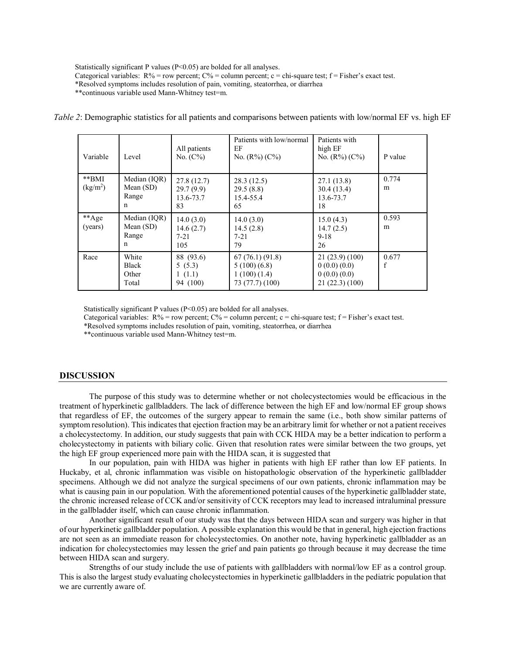Statistically significant P values (P<0.05) are bolded for all analyses.

Categorical variables:  $R\%$  = row percent;  $C\%$  = column percent; c = chi-square test; f = Fisher's exact test.

\*Resolved symptoms includes resolution of pain, vomiting, steatorrhea, or diarrhea

\*\*continuous variable used Mann-Whitney test=m.

| Variable                          | Level                                               | All patients<br>No. $(C\%)$                | Patients with low/normal<br>EF<br>No. $(R\%)$ (C%)              | Patients with<br>high EF<br>No. $(R\%)$ (C%)                 | P value    |
|-----------------------------------|-----------------------------------------------------|--------------------------------------------|-----------------------------------------------------------------|--------------------------------------------------------------|------------|
| $*$ $BMI$<br>(kg/m <sup>2</sup> ) | Median (IQR)<br>Mean $(SD)$<br>Range<br>n           | 27.8(12.7)<br>29.7(9.9)<br>13.6-73.7<br>83 | 28.3(12.5)<br>29.5(8.8)<br>15.4-55.4<br>65                      | 27.1(13.8)<br>30.4 (13.4)<br>13.6-73.7<br>18                 | 0.774<br>m |
| **Age<br>(years)                  | Median (IQR)<br>Mean $(SD)$<br>Range<br>$\mathbf n$ | 14.0(3.0)<br>14.6(2.7)<br>$7 - 21$<br>105  | 14.0(3.0)<br>14.5(2.8)<br>$7 - 21$<br>79                        | 15.0(4.3)<br>14.7(2.5)<br>$9-18$<br>26                       | 0.593<br>m |
| Race                              | White<br><b>Black</b><br>Other<br>Total             | 88 (93.6)<br>5(5.3)<br>1(1.1)<br>94 (100)  | 67(76.1)(91.8)<br>5(100)(6.8)<br>1(100)(1.4)<br>73 (77.7) (100) | 21(23.9)(100)<br>0(0.0)(0.0)<br>0(0.0)(0.0)<br>21(22.3)(100) | 0.677<br>f |

*Table 2*: Demographic statistics for all patients and comparisons between patients with low/normal EF vs. high EF

Statistically significant P values (P<0.05) are bolded for all analyses.

Categorical variables:  $R%$  = row percent;  $C%$  = column percent; c = chi-square test; f = Fisher's exact test.

\*Resolved symptoms includes resolution of pain, vomiting, steatorrhea, or diarrhea

\*\*continuous variable used Mann-Whitney test=m.

#### **DISCUSSION**

The purpose of this study was to determine whether or not cholecystectomies would be efficacious in the treatment of hyperkinetic gallbladders. The lack of difference between the high EF and low/normal EF group shows that regardless of EF, the outcomes of the surgery appear to remain the same (i.e., both show similar patterns of symptom resolution). This indicates that ejection fraction may be an arbitrary limit for whether or not a patient receives a cholecystectomy. In addition, our study suggests that pain with CCK HIDA may be a better indication to perform a cholecystectomy in patients with biliary colic. Given that resolution rates were similar between the two groups, yet the high EF group experienced more pain with the HIDA scan, it is suggested that

In our population, pain with HIDA was higher in patients with high EF rather than low EF patients. In Huckaby, et al, chronic inflammation was visible on histopathologic observation of the hyperkinetic gallbladder specimens. Although we did not analyze the surgical specimens of our own patients, chronic inflammation may be what is causing pain in our population. With the aforementioned potential causes of the hyperkinetic gallbladder state, the chronic increased release of CCK and/or sensitivity of CCK receptors may lead to increased intraluminal pressure in the gallbladder itself, which can cause chronic inflammation.

Another significant result of our study was that the days between HIDA scan and surgery was higher in that of our hyperkinetic gallbladder population. A possible explanation this would be that in general, high ejection fractions are not seen as an immediate reason for cholecystectomies. On another note, having hyperkinetic gallbladder as an indication for cholecystectomies may lessen the grief and pain patients go through because it may decrease the time between HIDA scan and surgery.

Strengths of our study include the use of patients with gallbladders with normal/low EF as a control group. This is also the largest study evaluating cholecystectomies in hyperkinetic gallbladders in the pediatric population that we are currently aware of.